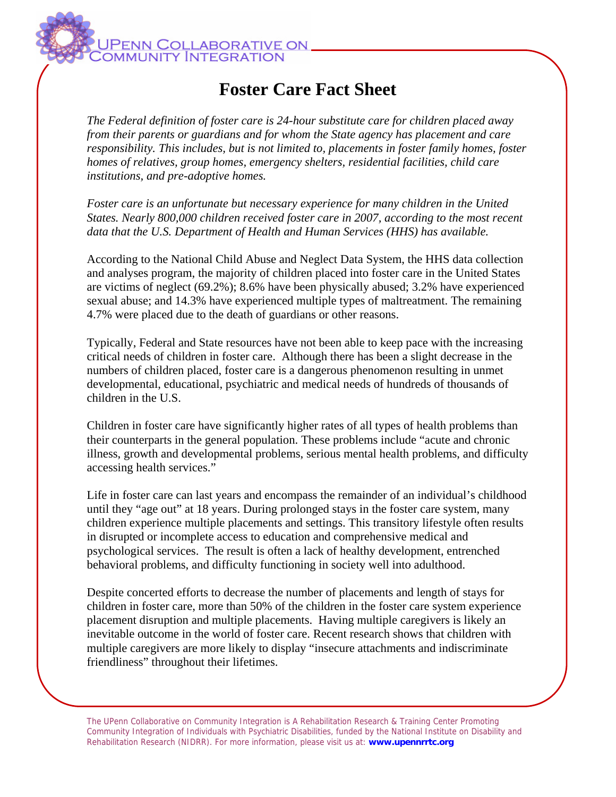

## **Foster Care Fact Sheet**

*The Federal definition of foster care is 24-hour substitute care for children placed away from their parents or guardians and for whom the State agency has placement and care responsibility. This includes, but is not limited to, placements in foster family homes, foster homes of relatives, group homes, emergency shelters, residential facilities, child care institutions, and pre-adoptive homes.* 

*Foster care is an unfortunate but necessary experience for many children in the United States. Nearly 800,000 children received foster care in 2007, according to the most recent data that the U.S. Department of Health and Human Services (HHS) has available.* 

According to the National Child Abuse and Neglect Data System, the HHS data collection and analyses program, the majority of children placed into foster care in the United States are victims of neglect (69.2%); 8.6% have been physically abused; 3.2% have experienced sexual abuse; and 14.3% have experienced multiple types of maltreatment. The remaining 4.7% were placed due to the death of guardians or other reasons.

Typically, Federal and State resources have not been able to keep pace with the increasing critical needs of children in foster care. Although there has been a slight decrease in the numbers of children placed, foster care is a dangerous phenomenon resulting in unmet developmental, educational, psychiatric and medical needs of hundreds of thousands of children in the U.S.

Children in foster care have significantly higher rates of all types of health problems than their counterparts in the general population. These problems include "acute and chronic illness, growth and developmental problems, serious mental health problems, and difficulty accessing health services."

Life in foster care can last years and encompass the remainder of an individual's childhood until they "age out" at 18 years. During prolonged stays in the foster care system, many children experience multiple placements and settings. This transitory lifestyle often results in disrupted or incomplete access to education and comprehensive medical and psychological services. The result is often a lack of healthy development, entrenched behavioral problems, and difficulty functioning in society well into adulthood.

Despite concerted efforts to decrease the number of placements and length of stays for children in foster care, more than 50% of the children in the foster care system experience placement disruption and multiple placements. Having multiple caregivers is likely an inevitable outcome in the world of foster care. Recent research shows that children with multiple caregivers are more likely to display "insecure attachments and indiscriminate friendliness" throughout their lifetimes.

The UPenn Collaborative on Community Integration is A Rehabilitation Research & Training Center Promoting Community Integration of Individuals with Psychiatric Disabilities, funded by the National Institute on Disability and Rehabilitation Research (NIDRR). For more information, please visit us at: **www.upennrrtc.org**